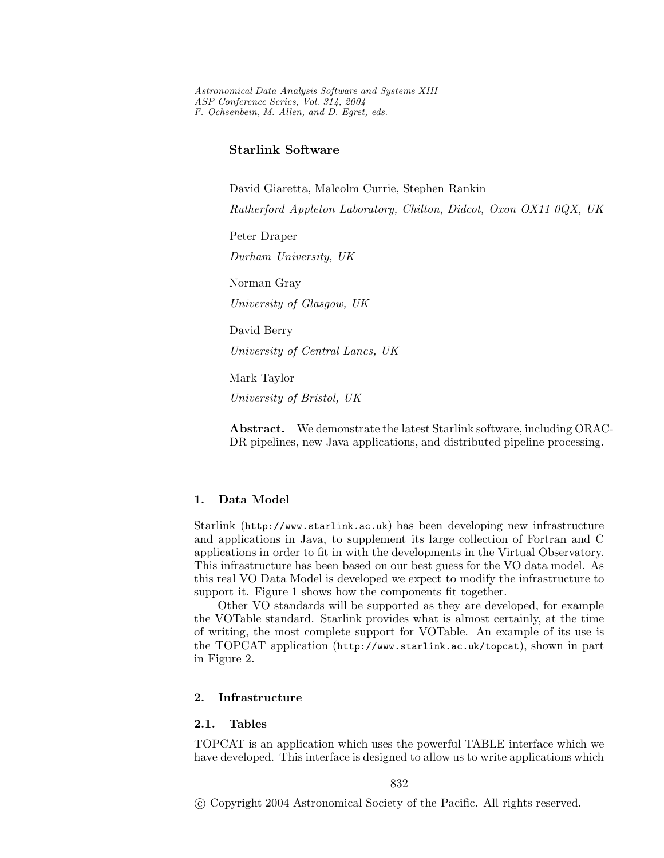*Astronomical Data Analysis Software and Systems XIII ASP Conference Series, Vol. 314, 2004 F. Ochsenbein, M. Allen, and D. Egret, eds.*

# **Starlink Software**

David Giaretta, Malcolm Currie, Stephen Rankin *Rutherford Appleton Laboratory, Chilton, Didcot, Oxon OX11 0QX, UK* Peter Draper *Durham University, UK* Norman Gray *University of Glasgow, UK* David Berry *University of Central Lancs, UK* Mark Taylor *University of Bristol, UK*

**Abstract.** We demonstrate the latest Starlink software, including ORAC-DR pipelines, new Java applications, and distributed pipeline processing.

## **1. Data Model**

Starlink (http://www.starlink.ac.uk) has been developing new infrastructure and applications in Java, to supplement its large collection of Fortran and C applications in order to fit in with the developments in the Virtual Observatory. This infrastructure has been based on our best guess for the VO data model. As this real VO Data Model is developed we expect to modify the infrastructure to support it. Figure 1 shows how the components fit together.

Other VO standards will be supported as they are developed, for example the VOTable standard. Starlink provides what is almost certainly, at the time of writing, the most complete support for VOTable. An example of its use is the TOPCAT application (http://www.starlink.ac.uk/topcat), shown in part in Figure 2.

## **2. Infrastructure**

#### **2.1. Tables**

TOPCAT is an application which uses the powerful TABLE interface which we have developed. This interface is designed to allow us to write applications which

c Copyright 2004 Astronomical Society of the Pacific. All rights reserved.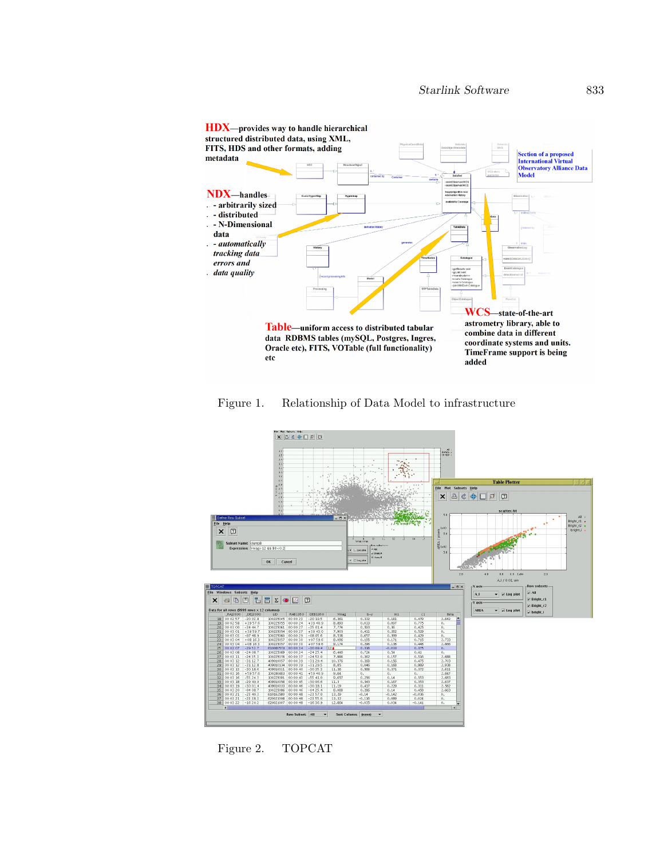

Figure 1. Relationship of Data Model to infrastructure



Figure 2. TOPCAT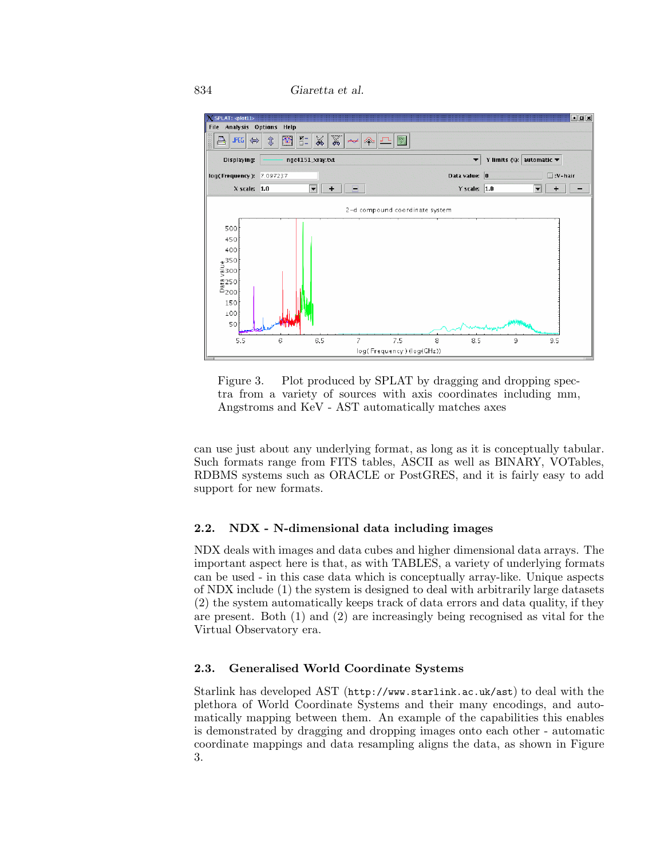<sup>834</sup> *Giaretta et al.*



Figure 3. Plot produced by SPLAT by dragging and dropping spectra from a variety of sources with axis coordinates including mm, Angstroms and KeV - AST automatically matches axes

can use just about any underlying format, as long as it is conceptually tabular. Such formats range from FITS tables, ASCII as well as BINARY, VOTables, RDBMS systems such as ORACLE or PostGRES, and it is fairly easy to add support for new formats.

## **2.2. NDX - N-dimensional data including images**

NDX deals with images and data cubes and higher dimensional data arrays. The important aspect here is that, as with TABLES, a variety of underlying formats can be used - in this case data which is conceptually array-like. Unique aspects of NDX include (1) the system is designed to deal with arbitrarily large datasets (2) the system automatically keeps track of data errors and data quality, if they are present. Both (1) and (2) are increasingly being recognised as vital for the Virtual Observatory era.

## **2.3. Generalised World Coordinate Systems**

Starlink has developed AST (http://www.starlink.ac.uk/ast) to deal with the plethora of World Coordinate Systems and their many encodings, and automatically mapping between them. An example of the capabilities this enables is demonstrated by dragging and dropping images onto each other - automatic coordinate mappings and data resampling aligns the data, as shown in Figure 3.